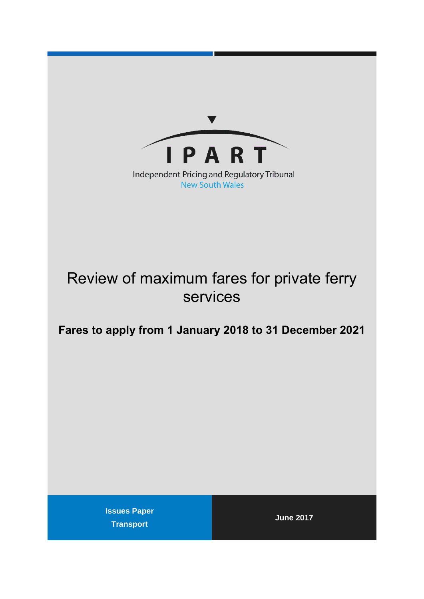

# Review of maximum fares for private ferry services

# **Fares to apply from 1 January 2018 to 31 December 2021**

**Issues Paper Transport**

**June 2017**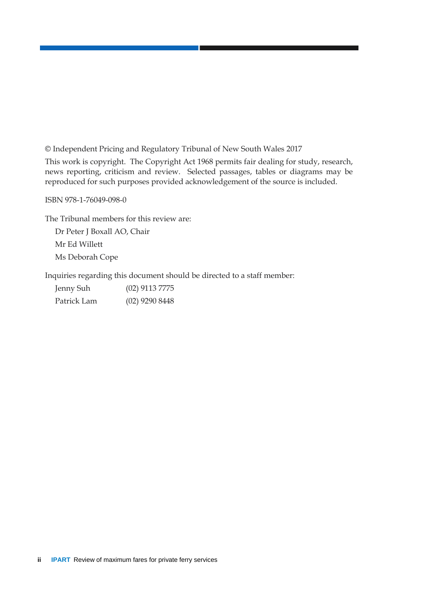© Independent Pricing and Regulatory Tribunal of New South Wales 2017

This work is copyright. The Copyright Act 1968 permits fair dealing for study, research, news reporting, criticism and review. Selected passages, tables or diagrams may be reproduced for such purposes provided acknowledgement of the source is included.

ISBN 978-1-76049-098-0

The Tribunal members for this review are:

Dr Peter J Boxall AO, Chair Mr Ed Willett Ms Deborah Cope

Inquiries regarding this document should be directed to a staff member:

| Jenny Suh   | $(02)$ 9113 7775 |
|-------------|------------------|
| Patrick Lam | $(02)$ 9290 8448 |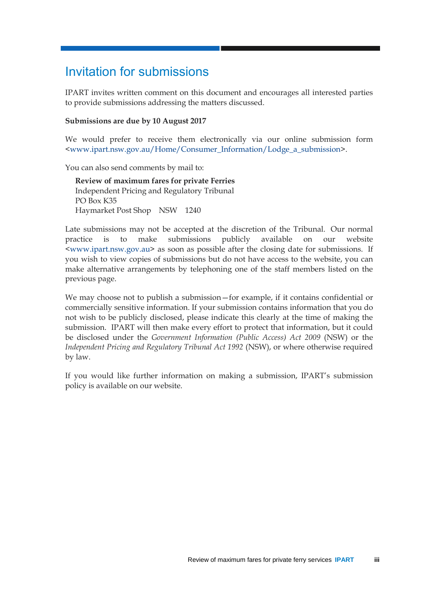# Invitation for submissions

IPART invites written comment on this document and encourages all interested parties to provide submissions addressing the matters discussed.

#### **Submissions are due by 10 August 2017**

We would prefer to receive them electronically via our online submission form [<www.ipart.nsw.gov.au/Home/Consumer\\_Information/Lodge\\_a\\_submission>](http://www.ipart.nsw.gov.au/Home/Consumer_Information/Lodge_a_submission).

You can also send comments by mail to:

**Review of maximum fares for private Ferries** Independent Pricing and Regulatory Tribunal PO Box K35 Haymarket Post Shop NSW 1240

Late submissions may not be accepted at the discretion of the Tribunal. Our normal practice is to make submissions publicly available on our website [<www.ipart.nsw.gov.au>](http://www.ipart.nsw.gov.au/) as soon as possible after the closing date for submissions. If you wish to view copies of submissions but do not have access to the website, you can make alternative arrangements by telephoning one of the staff members listed on the previous page.

We may choose not to publish a submission—for example, if it contains confidential or commercially sensitive information. If your submission contains information that you do not wish to be publicly disclosed, please indicate this clearly at the time of making the submission. IPART will then make every effort to protect that information, but it could be disclosed under the *Government Information (Public Access) Act 2009* (NSW) or the *Independent Pricing and Regulatory Tribunal Act 1992* (NSW), or where otherwise required by law.

If you would like further information on making a submission, IPART's submission policy is available on our website.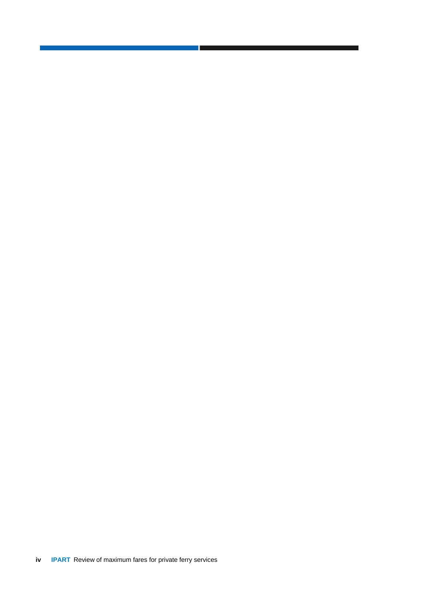a ka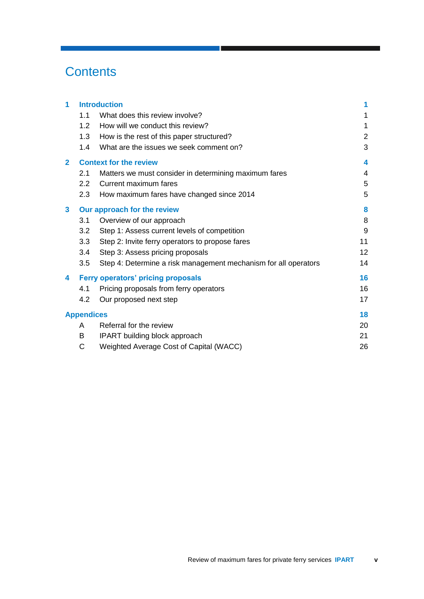# **Contents**

| 1 |                   | <b>Introduction</b>                                             | 1                 |
|---|-------------------|-----------------------------------------------------------------|-------------------|
|   | 1.1               | What does this review involve?                                  | 1                 |
|   | 1.2 <sub>2</sub>  | How will we conduct this review?                                | 1                 |
|   | 1.3               | How is the rest of this paper structured?                       | $\overline{2}$    |
|   | 1.4               | What are the issues we seek comment on?                         | 3                 |
| 2 |                   | <b>Context for the review</b>                                   | 4                 |
|   | 2.1               | Matters we must consider in determining maximum fares           | 4                 |
|   | $2.2^{\circ}$     | Current maximum fares                                           | 5                 |
|   | 2.3               | How maximum fares have changed since 2014                       | 5                 |
| 3 |                   | Our approach for the review                                     | 8                 |
|   | 3.1               | Overview of our approach                                        | 8                 |
|   | 3.2               | Step 1: Assess current levels of competition                    | 9                 |
|   | 3.3               | Step 2: Invite ferry operators to propose fares                 | 11                |
|   | 3.4               | Step 3: Assess pricing proposals                                | $12 \overline{ }$ |
|   | 3.5               | Step 4: Determine a risk management mechanism for all operators | 14                |
| 4 |                   | Ferry operators' pricing proposals                              | 16                |
|   | 4.1               | Pricing proposals from ferry operators                          | 16                |
|   | 4.2               | Our proposed next step                                          | 17                |
|   | <b>Appendices</b> |                                                                 | 18                |
|   | A                 | Referral for the review                                         | 20                |
|   | B                 | <b>IPART</b> building block approach                            | 21                |
|   | C                 | Weighted Average Cost of Capital (WACC)                         | 26                |

H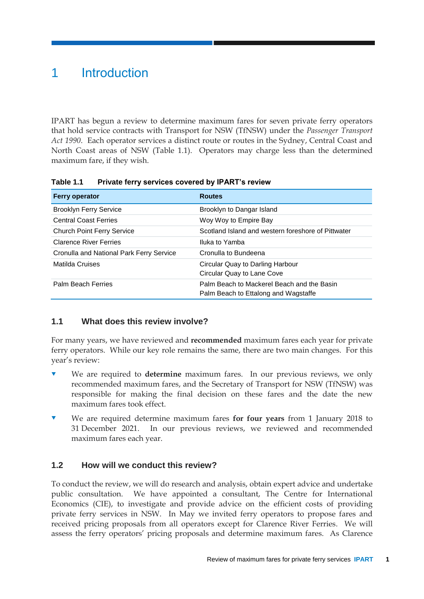# 1 Introduction

IPART has begun a review to determine maximum fares for seven private ferry operators that hold service contracts with Transport for NSW (TfNSW) under the *Passenger Transport Act 1990*. Each operator services a distinct route or routes in the Sydney, Central Coast and North Coast areas of NSW (Table 1.1). Operators may charge less than the determined maximum fare, if they wish.

| <b>Ferry operator</b>                    | <b>Routes</b>                                                                      |
|------------------------------------------|------------------------------------------------------------------------------------|
| <b>Brooklyn Ferry Service</b>            | Brooklyn to Dangar Island                                                          |
| <b>Central Coast Ferries</b>             | Woy Woy to Empire Bay                                                              |
| <b>Church Point Ferry Service</b>        | Scotland Island and western foreshore of Pittwater                                 |
| <b>Clarence River Ferries</b>            | Iluka to Yamba                                                                     |
| Cronulla and National Park Ferry Service | Cronulla to Bundeena                                                               |
| Matilda Cruises                          | Circular Quay to Darling Harbour<br>Circular Quay to Lane Cove                     |
| <b>Palm Beach Ferries</b>                | Palm Beach to Mackerel Beach and the Basin<br>Palm Beach to Ettalong and Wagstaffe |

**Table 1.1 Private ferry services covered by IPART's review**

# **1.1 What does this review involve?**

For many years, we have reviewed and **recommended** maximum fares each year for private ferry operators. While our key role remains the same, there are two main changes. For this year's review:

- We are required to **determine** maximum fares. In our previous reviews, we only recommended maximum fares, and the Secretary of Transport for NSW (TfNSW) was responsible for making the final decision on these fares and the date the new maximum fares took effect.
- We are required determine maximum fares **for four years** from 1 January 2018 to 31 December 2021. In our previous reviews, we reviewed and recommended maximum fares each year.

## **1.2 How will we conduct this review?**

To conduct the review, we will do research and analysis, obtain expert advice and undertake public consultation. We have appointed a consultant, The Centre for International Economics (CIE), to investigate and provide advice on the efficient costs of providing private ferry services in NSW. In May we invited ferry operators to propose fares and received pricing proposals from all operators except for Clarence River Ferries. We will assess the ferry operators' pricing proposals and determine maximum fares. As Clarence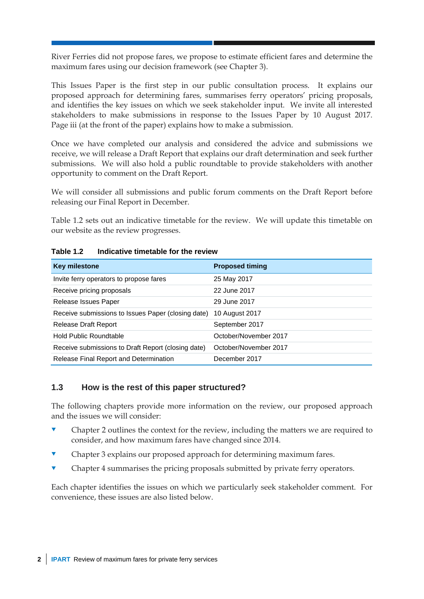River Ferries did not propose fares, we propose to estimate efficient fares and determine the maximum fares using our decision framework (see Chapter 3).

This Issues Paper is the first step in our public consultation process. It explains our proposed approach for determining fares, summarises ferry operators' pricing proposals, and identifies the key issues on which we seek stakeholder input. We invite all interested stakeholders to make submissions in response to the Issues Paper by 10 August 2017. Page iii (at the front of the paper) explains how to make a submission.

Once we have completed our analysis and considered the advice and submissions we receive, we will release a Draft Report that explains our draft determination and seek further submissions. We will also hold a public roundtable to provide stakeholders with another opportunity to comment on the Draft Report.

We will consider all submissions and public forum comments on the Draft Report before releasing our Final Report in December.

Table 1.2 sets out an indicative timetable for the review. We will update this timetable on our website as the review progresses.

| <b>Key milestone</b>                               | <b>Proposed timing</b> |
|----------------------------------------------------|------------------------|
| Invite ferry operators to propose fares            | 25 May 2017            |
| Receive pricing proposals                          | 22 June 2017           |
| Release Issues Paper                               | 29 June 2017           |
| Receive submissions to Issues Paper (closing date) | 10 August 2017         |
| Release Draft Report                               | September 2017         |
| <b>Hold Public Roundtable</b>                      | October/November 2017  |
| Receive submissions to Draft Report (closing date) | October/November 2017  |
| Release Final Report and Determination             | December 2017          |

#### **Table 1.2 Indicative timetable for the review**

#### **1.3 How is the rest of this paper structured?**

The following chapters provide more information on the review, our proposed approach and the issues we will consider:

- Chapter 2 outlines the context for the review, including the matters we are required to consider, and how maximum fares have changed since 2014.
- Chapter 3 explains our proposed approach for determining maximum fares.
- Chapter 4 summarises the pricing proposals submitted by private ferry operators.

Each chapter identifies the issues on which we particularly seek stakeholder comment. For convenience, these issues are also listed below.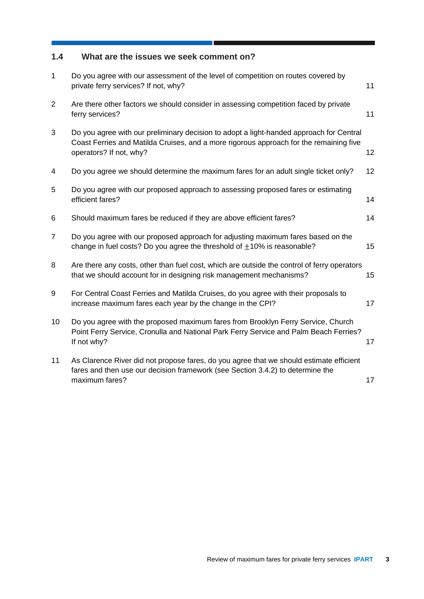# **1.4 What are the issues we seek comment on?**

| $\mathbf{1}$   | Do you agree with our assessment of the level of competition on routes covered by<br>private ferry services? If not, why?                                                                                    | 11 |
|----------------|--------------------------------------------------------------------------------------------------------------------------------------------------------------------------------------------------------------|----|
| $\overline{2}$ | Are there other factors we should consider in assessing competition faced by private<br>ferry services?                                                                                                      | 11 |
| 3              | Do you agree with our preliminary decision to adopt a light-handed approach for Central<br>Coast Ferries and Matilda Cruises, and a more rigorous approach for the remaining five<br>operators? If not, why? | 12 |
| 4              | Do you agree we should determine the maximum fares for an adult single ticket only?                                                                                                                          | 12 |
| 5              | Do you agree with our proposed approach to assessing proposed fares or estimating<br>efficient fares?                                                                                                        | 14 |
| 6              | Should maximum fares be reduced if they are above efficient fares?                                                                                                                                           | 14 |
| $\overline{7}$ | Do you agree with our proposed approach for adjusting maximum fares based on the<br>change in fuel costs? Do you agree the threshold of $\pm 10\%$ is reasonable?                                            | 15 |
| 8              | Are there any costs, other than fuel cost, which are outside the control of ferry operators<br>that we should account for in designing risk management mechanisms?                                           | 15 |
| 9              | For Central Coast Ferries and Matilda Cruises, do you agree with their proposals to<br>increase maximum fares each year by the change in the CPI?                                                            | 17 |
| 10             | Do you agree with the proposed maximum fares from Brooklyn Ferry Service, Church<br>Point Ferry Service, Cronulla and National Park Ferry Service and Palm Beach Ferries?<br>If not why?                     | 17 |
| 11             | As Clarence River did not propose fares, do you agree that we should estimate efficient<br>fares and then use our decision framework (see Section 3.4.2) to determine the<br>maximum fares?                  | 17 |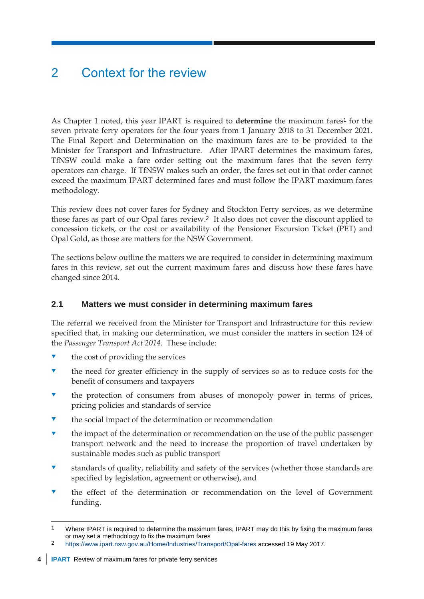# 2 Context for the review

As Chapter 1 noted, this year IPART is required to **determine** the maximum fares<sup>1</sup> for the seven private ferry operators for the four years from 1 January 2018 to 31 December 2021. The Final Report and Determination on the maximum fares are to be provided to the Minister for Transport and Infrastructure. After IPART determines the maximum fares, TfNSW could make a fare order setting out the maximum fares that the seven ferry operators can charge. If TfNSW makes such an order, the fares set out in that order cannot exceed the maximum IPART determined fares and must follow the IPART maximum fares methodology.

This review does not cover fares for Sydney and Stockton Ferry services, as we determine those fares as part of our Opal fares review.2 It also does not cover the discount applied to concession tickets, or the cost or availability of the Pensioner Excursion Ticket (PET) and Opal Gold, as those are matters for the NSW Government.

The sections below outline the matters we are required to consider in determining maximum fares in this review, set out the current maximum fares and discuss how these fares have changed since 2014.

# **2.1 Matters we must consider in determining maximum fares**

The referral we received from the Minister for Transport and Infrastructure for this review specified that, in making our determination, we must consider the matters in section 124 of the *Passenger Transport Act 2014.* These include:

- the cost of providing the services
- the need for greater efficiency in the supply of services so as to reduce costs for the benefit of consumers and taxpayers
- the protection of consumers from abuses of monopoly power in terms of prices, pricing policies and standards of service
- the social impact of the determination or recommendation
- the impact of the determination or recommendation on the use of the public passenger transport network and the need to increase the proportion of travel undertaken by sustainable modes such as public transport
- standards of quality, reliability and safety of the services (whether those standards are specified by legislation, agreement or otherwise), and
- the effect of the determination or recommendation on the level of Government funding.

-

<sup>1</sup> Where IPART is required to determine the maximum fares, IPART may do this by fixing the maximum fares or may set a methodology to fix the maximum fares

<sup>2</sup> <https://www.ipart.nsw.gov.au/Home/Industries/Transport/Opal-fares> accessed 19 May 2017.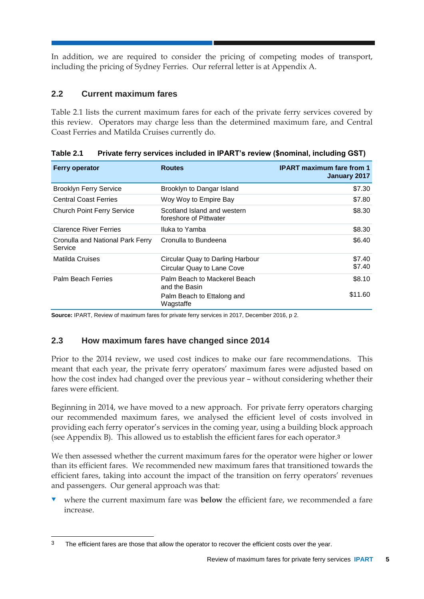In addition, we are required to consider the pricing of competing modes of transport, including the pricing of Sydney Ferries. Our referral letter is at Appendix A.

# **2.2 Current maximum fares**

Table 2.1 lists the current maximum fares for each of the private ferry services covered by this review. Operators may charge less than the determined maximum fare, and Central Coast Ferries and Matilda Cruises currently do.

| <b>Ferry operator</b>                       | <b>Routes</b>                                                  | <b>IPART</b> maximum fare from 1<br>January 2017 |
|---------------------------------------------|----------------------------------------------------------------|--------------------------------------------------|
| <b>Brooklyn Ferry Service</b>               | Brooklyn to Dangar Island                                      | \$7.30                                           |
| <b>Central Coast Ferries</b>                | Woy Woy to Empire Bay                                          | \$7.80                                           |
| <b>Church Point Ferry Service</b>           | Scotland Island and western<br>foreshore of Pittwater          | \$8.30                                           |
| <b>Clarence River Ferries</b>               | Iluka to Yamba                                                 | \$8.30                                           |
| Cronulla and National Park Ferry<br>Service | Cronulla to Bundeena                                           | \$6.40                                           |
| Matilda Cruises                             | Circular Quay to Darling Harbour<br>Circular Quay to Lane Cove | \$7.40<br>\$7.40                                 |
| <b>Palm Beach Ferries</b>                   | Palm Beach to Mackerel Beach<br>and the Basin                  | \$8.10                                           |
|                                             | Palm Beach to Ettalong and<br>Wagstaffe                        | \$11.60                                          |

**Table 2.1 Private ferry services included in IPART's review (\$nominal, including GST)**

**Source:** IPART, Review of maximum fares for private ferry services in 2017, December 2016, p 2.

# **2.3 How maximum fares have changed since 2014**

Prior to the 2014 review, we used cost indices to make our fare recommendations. This meant that each year, the private ferry operators' maximum fares were adjusted based on how the cost index had changed over the previous year – without considering whether their fares were efficient.

Beginning in 2014, we have moved to a new approach. For private ferry operators charging our recommended maximum fares, we analysed the efficient level of costs involved in providing each ferry operator's services in the coming year, using a building block approach (see Appendix B). This allowed us to establish the efficient fares for each operator.<sup>3</sup>

We then assessed whether the current maximum fares for the operator were higher or lower than its efficient fares. We recommended new maximum fares that transitioned towards the efficient fares, taking into account the impact of the transition on ferry operators' revenues and passengers. Our general approach was that:

 where the current maximum fare was **below** the efficient fare, we recommended a fare increase.

-

<sup>&</sup>lt;sup>3</sup> The efficient fares are those that allow the operator to recover the efficient costs over the year.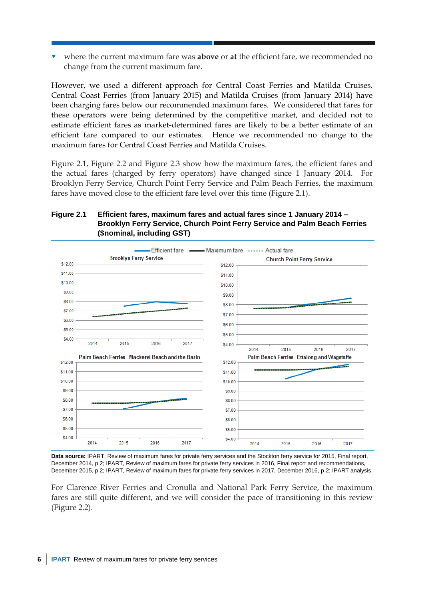where the current maximum fare was **above** or **at** the efficient fare, we recommended no change from the current maximum fare.

However, we used a different approach for Central Coast Ferries and Matilda Cruises. Central Coast Ferries (from January 2015) and Matilda Cruises (from January 2014) have been charging fares below our recommended maximum fares. We considered that fares for these operators were being determined by the competitive market, and decided not to estimate efficient fares as market-determined fares are likely to be a better estimate of an efficient fare compared to our estimates. Hence we recommended no change to the maximum fares for Central Coast Ferries and Matilda Cruises.

Figure 2.1, Figure 2.2 and Figure 2.3 show how the maximum fares, the efficient fares and the actual fares (charged by ferry operators) have changed since 1 January 2014. For Brooklyn Ferry Service, Church Point Ferry Service and Palm Beach Ferries, the maximum fares have moved close to the efficient fare level over this time (Figure 2.1).

#### **Figure 2.1 Efficient fares, maximum fares and actual fares since 1 January 2014 – Brooklyn Ferry Service, Church Point Ferry Service and Palm Beach Ferries (\$nominal, including GST)**



**Data source:** IPART, Review of maximum fares for private ferry services and the Stockton ferry service for 2015, Final report, December 2014, p 2; IPART, Review of maximum fares for private ferry services in 2016, Final report and recommendations, December 2015, p 2; IPART, Review of maximum fares for private ferry services in 2017, December 2016, p 2; IPART analysis.

For Clarence River Ferries and Cronulla and National Park Ferry Service, the maximum fares are still quite different, and we will consider the pace of transitioning in this review (Figure 2.2).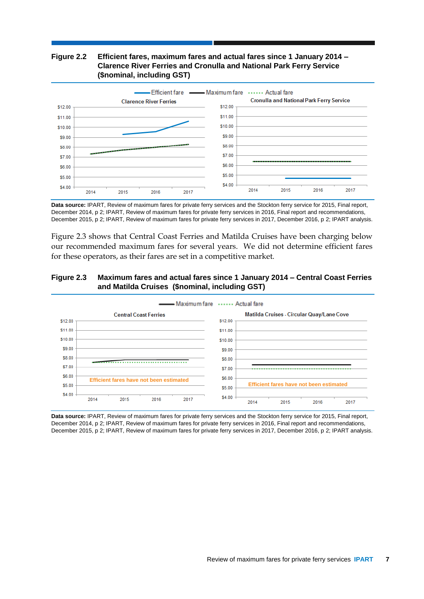#### **Figure 2.2 Efficient fares, maximum fares and actual fares since 1 January 2014 – Clarence River Ferries and Cronulla and National Park Ferry Service (\$nominal, including GST)**



**Data source:** IPART, Review of maximum fares for private ferry services and the Stockton ferry service for 2015, Final report, December 2014, p 2; IPART, Review of maximum fares for private ferry services in 2016, Final report and recommendations, December 2015, p 2; IPART, Review of maximum fares for private ferry services in 2017, December 2016, p 2; IPART analysis.

Figure 2.3 shows that Central Coast Ferries and Matilda Cruises have been charging below our recommended maximum fares for several years. We did not determine efficient fares for these operators, as their fares are set in a competitive market.

#### **Figure 2.3 Maximum fares and actual fares since 1 January 2014 – Central Coast Ferries and Matilda Cruises (\$nominal, including GST)**



**Data source:** IPART, Review of maximum fares for private ferry services and the Stockton ferry service for 2015, Final report, December 2014, p 2; IPART, Review of maximum fares for private ferry services in 2016, Final report and recommendations, December 2015, p 2; IPART, Review of maximum fares for private ferry services in 2017, December 2016, p 2; IPART analysis.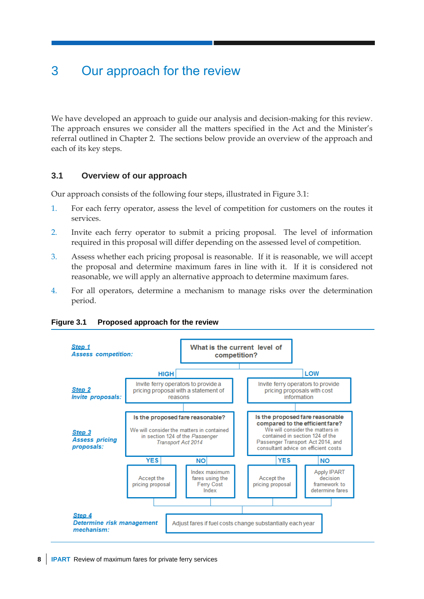# 3 Our approach for the review

We have developed an approach to guide our analysis and decision-making for this review. The approach ensures we consider all the matters specified in the Act and the Minister's referral outlined in Chapter 2. The sections below provide an overview of the approach and each of its key steps.

# **3.1 Overview of our approach**

Our approach consists of the following four steps, illustrated in Figure 3.1:

- 1. For each ferry operator, assess the level of competition for customers on the routes it services.
- 2. Invite each ferry operator to submit a pricing proposal. The level of information required in this proposal will differ depending on the assessed level of competition.
- 3. Assess whether each pricing proposal is reasonable. If it is reasonable, we will accept the proposal and determine maximum fares in line with it. If it is considered not reasonable, we will apply an alternative approach to determine maximum fares.
- 4. For all operators, determine a mechanism to manage risks over the determination period.



#### **Figure 3.1 Proposed approach for the review**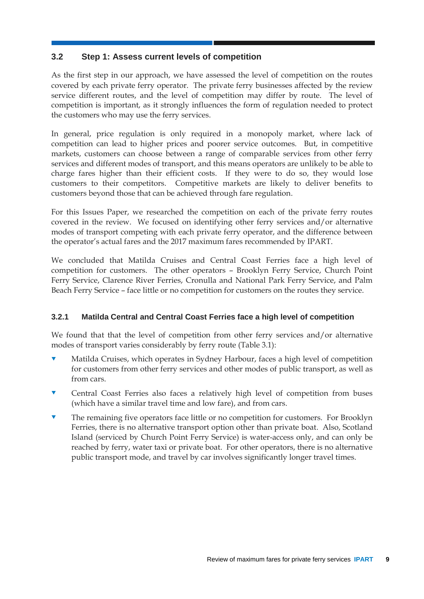# **3.2 Step 1: Assess current levels of competition**

As the first step in our approach, we have assessed the level of competition on the routes covered by each private ferry operator. The private ferry businesses affected by the review service different routes, and the level of competition may differ by route. The level of competition is important, as it strongly influences the form of regulation needed to protect the customers who may use the ferry services.

In general, price regulation is only required in a monopoly market, where lack of competition can lead to higher prices and poorer service outcomes. But, in competitive markets, customers can choose between a range of comparable services from other ferry services and different modes of transport, and this means operators are unlikely to be able to charge fares higher than their efficient costs. If they were to do so, they would lose customers to their competitors. Competitive markets are likely to deliver benefits to customers beyond those that can be achieved through fare regulation.

For this Issues Paper, we researched the competition on each of the private ferry routes covered in the review. We focused on identifying other ferry services and/or alternative modes of transport competing with each private ferry operator, and the difference between the operator's actual fares and the 2017 maximum fares recommended by IPART.

We concluded that Matilda Cruises and Central Coast Ferries face a high level of competition for customers. The other operators – Brooklyn Ferry Service, Church Point Ferry Service, Clarence River Ferries, Cronulla and National Park Ferry Service, and Palm Beach Ferry Service – face little or no competition for customers on the routes they service.

# **3.2.1 Matilda Central and Central Coast Ferries face a high level of competition**

We found that that the level of competition from other ferry services and/or alternative modes of transport varies considerably by ferry route (Table 3.1):

- Matilda Cruises, which operates in Sydney Harbour, faces a high level of competition for customers from other ferry services and other modes of public transport, as well as from cars.
- Central Coast Ferries also faces a relatively high level of competition from buses (which have a similar travel time and low fare), and from cars.
- The remaining five operators face little or no competition for customers. For Brooklyn Ferries, there is no alternative transport option other than private boat. Also, Scotland Island (serviced by Church Point Ferry Service) is water-access only, and can only be reached by ferry, water taxi or private boat. For other operators, there is no alternative public transport mode, and travel by car involves significantly longer travel times.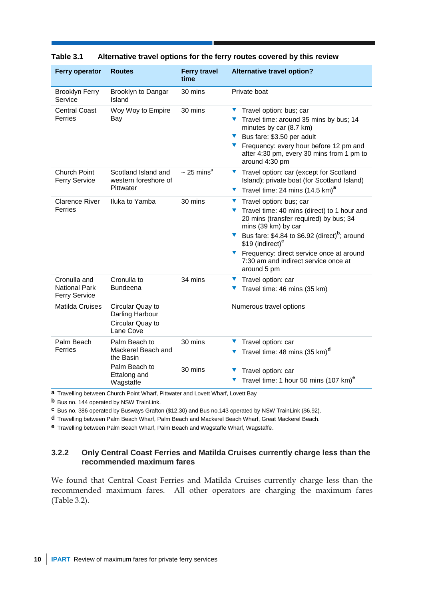| <b>Ferry operator</b>                                        | <b>Routes</b>                                                                                  | <b>Ferry travel</b><br>time | <b>Alternative travel option?</b>                                                                                                                                                                                                                                                                                                               |
|--------------------------------------------------------------|------------------------------------------------------------------------------------------------|-----------------------------|-------------------------------------------------------------------------------------------------------------------------------------------------------------------------------------------------------------------------------------------------------------------------------------------------------------------------------------------------|
| <b>Brooklyn Ferry</b><br>Service                             | Brooklyn to Dangar<br>Island                                                                   | 30 mins                     | Private boat                                                                                                                                                                                                                                                                                                                                    |
| <b>Central Coast</b><br>Ferries                              | Woy Woy to Empire<br>Bay                                                                       | 30 mins                     | Travel option: bus; car<br>v.<br>Travel time: around 35 mins by bus; 14<br>minutes by car (8.7 km)<br>Bus fare: \$3.50 per adult<br>$\blacktriangledown$<br>Frequency: every hour before 12 pm and<br>after 4:30 pm, every 30 mins from 1 pm to<br>around 4:30 pm                                                                               |
| Church Point<br><b>Ferry Service</b>                         | Scotland Island and<br>western foreshore of<br>Pittwater                                       | $\sim$ 25 mins <sup>a</sup> | Travel option: car (except for Scotland<br>$\blacktriangledown$<br>Island); private boat (for Scotland Island)<br>Travel time: 24 mins (14.5 km) <sup>a</sup><br>▼                                                                                                                                                                              |
| <b>Clarence River</b><br>Ferries                             | Iluka to Yamba                                                                                 | 30 mins                     | ▼ Travel option: bus; car<br>Travel time: 40 mins (direct) to 1 hour and<br>20 mins (transfer required) by bus; 34<br>mins (39 km) by car<br>U Bus fare: $$4.84$ to $$6.92$ (direct) <sup>b</sup> ; around<br>\$19 (indirect) <sup>c</sup><br>▼ Frequency: direct service once at around<br>7:30 am and indirect service once at<br>around 5 pm |
| Cronulla and<br><b>National Park</b><br><b>Ferry Service</b> | Cronulla to<br><b>Bundeena</b>                                                                 | 34 mins                     | Travel option: car<br>v.<br>Travel time: 46 mins (35 km)<br>▼                                                                                                                                                                                                                                                                                   |
| <b>Matilda Cruises</b>                                       | Circular Quay to<br>Darling Harbour<br>Circular Quay to<br>Lane Cove                           |                             | Numerous travel options                                                                                                                                                                                                                                                                                                                         |
| Palm Beach<br>Ferries                                        | Palm Beach to<br>Mackerel Beach and<br>the Basin<br>Palm Beach to<br>Ettalong and<br>Wagstaffe | 30 mins<br>30 mins          | ▼ Travel option: car<br>Travel time: 48 mins (35 km) <sup>d</sup><br>Travel option: car<br>Travel time: 1 hour 50 mins (107 km) <sup>e</sup>                                                                                                                                                                                                    |

#### **Table 3.1 Alternative travel options for the ferry routes covered by this review**

**a** Travelling between Church Point Wharf, Pittwater and Lovett Wharf, Lovett Bay

**b** Bus no. 144 operated by NSW TrainLink.

**c** Bus no. 386 operated by Busways Grafton (\$12.30) and Bus no.143 operated by NSW TrainLink (\$6.92).

**d** Travelling between Palm Beach Wharf, Palm Beach and Mackerel Beach Wharf, Great Mackerel Beach.

**e** Travelling between Palm Beach Wharf, Palm Beach and Wagstaffe Wharf, Wagstaffe.

#### **3.2.2 Only Central Coast Ferries and Matilda Cruises currently charge less than the recommended maximum fares**

We found that Central Coast Ferries and Matilda Cruises currently charge less than the recommended maximum fares. All other operators are charging the maximum fares (Table 3.2).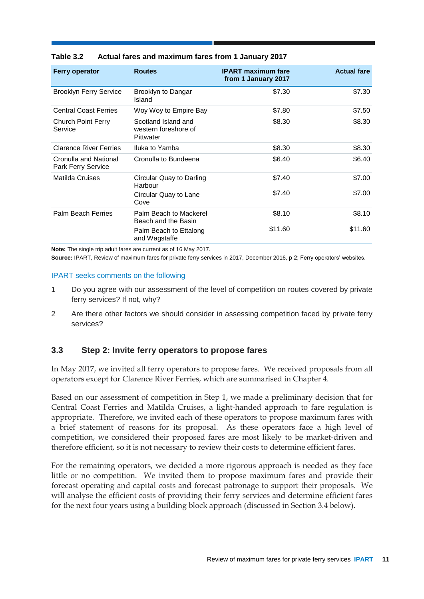| <b>Ferry operator</b>                              | <b>Routes</b>                                            | <b>IPART</b> maximum fare<br>from 1 January 2017 | <b>Actual fare</b> |
|----------------------------------------------------|----------------------------------------------------------|--------------------------------------------------|--------------------|
| <b>Brooklyn Ferry Service</b>                      | Brooklyn to Dangar<br>Island                             | \$7.30                                           | \$7.30             |
| <b>Central Coast Ferries</b>                       | Woy Woy to Empire Bay                                    | \$7.80                                           | \$7.50             |
| <b>Church Point Ferry</b><br>Service               | Scotland Island and<br>western foreshore of<br>Pittwater | \$8.30                                           | \$8.30             |
| <b>Clarence River Ferries</b>                      | Iluka to Yamba                                           | \$8.30                                           | \$8.30             |
| Cronulla and National<br><b>Park Ferry Service</b> | Cronulla to Bundeena                                     | \$6.40                                           | \$6.40             |
| Matilda Cruises                                    | Circular Quay to Darling<br>Harbour                      | \$7.40                                           | \$7.00             |
|                                                    | Circular Quay to Lane<br>Cove                            | \$7.40                                           | \$7.00             |
| <b>Palm Beach Ferries</b>                          | Palm Beach to Mackerel<br>Beach and the Basin            | \$8.10                                           | \$8.10             |
|                                                    | Palm Beach to Ettalong<br>and Wagstaffe                  | \$11.60                                          | \$11.60            |

#### **Table 3.2 Actual fares and maximum fares from 1 January 2017**

**Note:** The single trip adult fares are current as of 16 May 2017.

**Source:** IPART, Review of maximum fares for private ferry services in 2017, December 2016, p 2; Ferry operators' websites.

#### IPART seeks comments on the following

- 1 Do you agree with our assessment of the level of competition on routes covered by private ferry services? If not, why?
- 2 Are there other factors we should consider in assessing competition faced by private ferry services?

#### **3.3 Step 2: Invite ferry operators to propose fares**

In May 2017, we invited all ferry operators to propose fares. We received proposals from all operators except for Clarence River Ferries, which are summarised in Chapter 4.

Based on our assessment of competition in Step 1, we made a preliminary decision that for Central Coast Ferries and Matilda Cruises, a light-handed approach to fare regulation is appropriate. Therefore, we invited each of these operators to propose maximum fares with a brief statement of reasons for its proposal. As these operators face a high level of competition, we considered their proposed fares are most likely to be market-driven and therefore efficient, so it is not necessary to review their costs to determine efficient fares.

For the remaining operators, we decided a more rigorous approach is needed as they face little or no competition. We invited them to propose maximum fares and provide their forecast operating and capital costs and forecast patronage to support their proposals. We will analyse the efficient costs of providing their ferry services and determine efficient fares for the next four years using a building block approach (discussed in Section 3.4 below).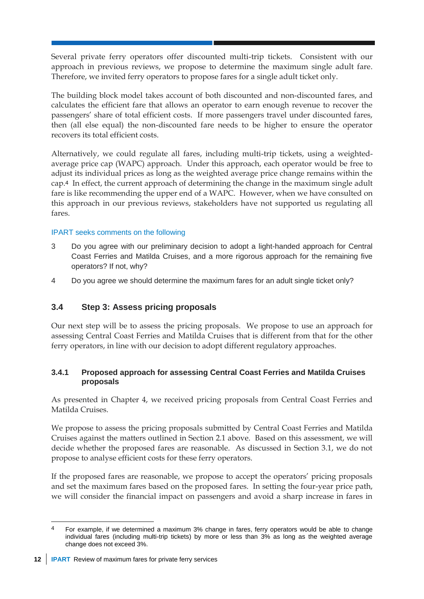Several private ferry operators offer discounted multi-trip tickets. Consistent with our approach in previous reviews, we propose to determine the maximum single adult fare. Therefore, we invited ferry operators to propose fares for a single adult ticket only.

The building block model takes account of both discounted and non-discounted fares, and calculates the efficient fare that allows an operator to earn enough revenue to recover the passengers' share of total efficient costs. If more passengers travel under discounted fares, then (all else equal) the non-discounted fare needs to be higher to ensure the operator recovers its total efficient costs.

Alternatively, we could regulate all fares, including multi-trip tickets, using a weightedaverage price cap (WAPC) approach. Under this approach, each operator would be free to adjust its individual prices as long as the weighted average price change remains within the cap.4 In effect, the current approach of determining the change in the maximum single adult fare is like recommending the upper end of a WAPC. However, when we have consulted on this approach in our previous reviews, stakeholders have not supported us regulating all fares.

## IPART seeks comments on the following

- 3 Do you agree with our preliminary decision to adopt a light-handed approach for Central Coast Ferries and Matilda Cruises, and a more rigorous approach for the remaining five operators? If not, why?
- 4 Do you agree we should determine the maximum fares for an adult single ticket only?

# **3.4 Step 3: Assess pricing proposals**

Our next step will be to assess the pricing proposals. We propose to use an approach for assessing Central Coast Ferries and Matilda Cruises that is different from that for the other ferry operators, in line with our decision to adopt different regulatory approaches.

### **3.4.1 Proposed approach for assessing Central Coast Ferries and Matilda Cruises proposals**

As presented in Chapter 4, we received pricing proposals from Central Coast Ferries and Matilda Cruises.

We propose to assess the pricing proposals submitted by Central Coast Ferries and Matilda Cruises against the matters outlined in Section 2.1 above. Based on this assessment, we will decide whether the proposed fares are reasonable. As discussed in Section 3.1, we do not propose to analyse efficient costs for these ferry operators.

If the proposed fares are reasonable, we propose to accept the operators' pricing proposals and set the maximum fares based on the proposed fares. In setting the four-year price path, we will consider the financial impact on passengers and avoid a sharp increase in fares in

<sup>-</sup><sup>4</sup> For example, if we determined a maximum 3% change in fares, ferry operators would be able to change individual fares (including multi-trip tickets) by more or less than 3% as long as the weighted average change does not exceed 3%.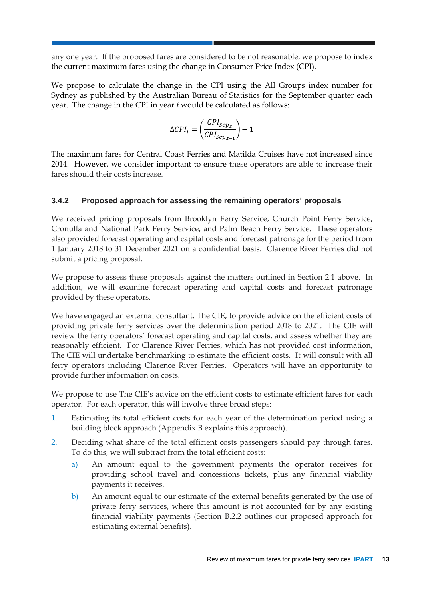any one year. If the proposed fares are considered to be not reasonable, we propose to index the current maximum fares using the change in Consumer Price Index (CPI).

We propose to calculate the change in the CPI using the All Groups index number for Sydney as published by the Australian Bureau of Statistics for the September quarter each year. The change in the CPI in year *t* would be calculated as follows:

$$
\Delta CPI_t = \left(\frac{CPI_{sep,t}}{CPI_{sep,t-1}}\right) - 1
$$

The maximum fares for Central Coast Ferries and Matilda Cruises have not increased since 2014. However, we consider important to ensure these operators are able to increase their fares should their costs increase.

### **3.4.2 Proposed approach for assessing the remaining operators' proposals**

We received pricing proposals from Brooklyn Ferry Service, Church Point Ferry Service, Cronulla and National Park Ferry Service, and Palm Beach Ferry Service. These operators also provided forecast operating and capital costs and forecast patronage for the period from 1 January 2018 to 31 December 2021 on a confidential basis. Clarence River Ferries did not submit a pricing proposal.

We propose to assess these proposals against the matters outlined in Section 2.1 above. In addition, we will examine forecast operating and capital costs and forecast patronage provided by these operators.

We have engaged an external consultant, The CIE, to provide advice on the efficient costs of providing private ferry services over the determination period 2018 to 2021. The CIE will review the ferry operators' forecast operating and capital costs, and assess whether they are reasonably efficient. For Clarence River Ferries, which has not provided cost information, The CIE will undertake benchmarking to estimate the efficient costs. It will consult with all ferry operators including Clarence River Ferries. Operators will have an opportunity to provide further information on costs.

We propose to use The CIE's advice on the efficient costs to estimate efficient fares for each operator. For each operator, this will involve three broad steps:

- 1. Estimating its total efficient costs for each year of the determination period using a building block approach (Appendix B explains this approach).
- 2. Deciding what share of the total efficient costs passengers should pay through fares. To do this, we will subtract from the total efficient costs:
	- a) An amount equal to the government payments the operator receives for providing school travel and concessions tickets, plus any financial viability payments it receives.
	- b) An amount equal to our estimate of the external benefits generated by the use of private ferry services, where this amount is not accounted for by any existing financial viability payments (Section B.2.2 outlines our proposed approach for estimating external benefits).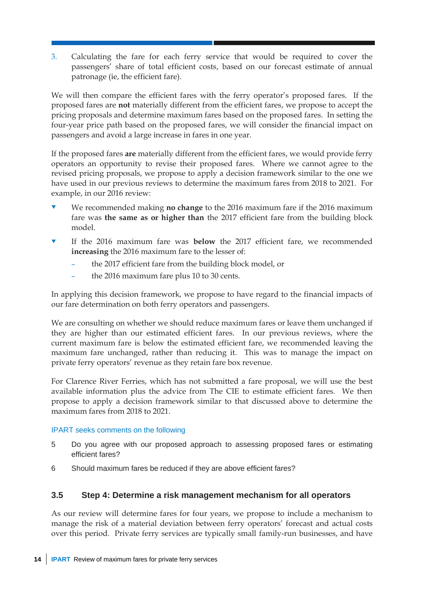3. Calculating the fare for each ferry service that would be required to cover the passengers' share of total efficient costs, based on our forecast estimate of annual patronage (ie, the efficient fare).

We will then compare the efficient fares with the ferry operator's proposed fares. If the proposed fares are **not** materially different from the efficient fares, we propose to accept the pricing proposals and determine maximum fares based on the proposed fares. In setting the four-year price path based on the proposed fares, we will consider the financial impact on passengers and avoid a large increase in fares in one year.

If the proposed fares **are** materially different from the efficient fares, we would provide ferry operators an opportunity to revise their proposed fares. Where we cannot agree to the revised pricing proposals, we propose to apply a decision framework similar to the one we have used in our previous reviews to determine the maximum fares from 2018 to 2021. For example, in our 2016 review:

- We recommended making **no change** to the 2016 maximum fare if the 2016 maximum fare was **the same as or higher than** the 2017 efficient fare from the building block model.
- If the 2016 maximum fare was **below** the 2017 efficient fare, we recommended **increasing** the 2016 maximum fare to the lesser of:
	- the 2017 efficient fare from the building block model, or
	- the 2016 maximum fare plus 10 to 30 cents.

In applying this decision framework, we propose to have regard to the financial impacts of our fare determination on both ferry operators and passengers.

We are consulting on whether we should reduce maximum fares or leave them unchanged if they are higher than our estimated efficient fares. In our previous reviews, where the current maximum fare is below the estimated efficient fare, we recommended leaving the maximum fare unchanged, rather than reducing it. This was to manage the impact on private ferry operators' revenue as they retain fare box revenue.

For Clarence River Ferries, which has not submitted a fare proposal, we will use the best available information plus the advice from The CIE to estimate efficient fares. We then propose to apply a decision framework similar to that discussed above to determine the maximum fares from 2018 to 2021.

## IPART seeks comments on the following

- 5 Do you agree with our proposed approach to assessing proposed fares or estimating efficient fares?
- 6 Should maximum fares be reduced if they are above efficient fares?

# **3.5 Step 4: Determine a risk management mechanism for all operators**

As our review will determine fares for four years, we propose to include a mechanism to manage the risk of a material deviation between ferry operators' forecast and actual costs over this period. Private ferry services are typically small family-run businesses, and have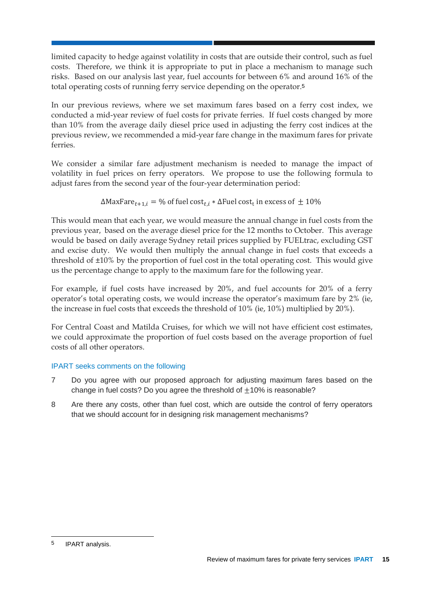limited capacity to hedge against volatility in costs that are outside their control, such as fuel costs. Therefore, we think it is appropriate to put in place a mechanism to manage such risks. Based on our analysis last year, fuel accounts for between 6% and around 16% of the total operating costs of running ferry service depending on the operator.<sup>5</sup>

In our previous reviews, where we set maximum fares based on a ferry cost index, we conducted a mid-year review of fuel costs for private ferries. If fuel costs changed by more than 10% from the average daily diesel price used in adjusting the ferry cost indices at the previous review, we recommended a mid-year fare change in the maximum fares for private ferries.

We consider a similar fare adjustment mechanism is needed to manage the impact of volatility in fuel prices on ferry operators. We propose to use the following formula to adjust fares from the second year of the four-year determination period:

 $\Delta$ MaxFare $_{t+1,i}$  = % of fuel cost $_{t,i}$  \*  $\Delta$ Fuel cost $_{\rm t}$  in excess of  $\,\pm\,10\%$ 

This would mean that each year, we would measure the annual change in fuel costs from the previous year, based on the average diesel price for the 12 months to October. This average would be based on daily average Sydney retail prices supplied by FUELtrac, excluding GST and excise duty. We would then multiply the annual change in fuel costs that exceeds a threshold of ±10% by the proportion of fuel cost in the total operating cost. This would give us the percentage change to apply to the maximum fare for the following year.

For example, if fuel costs have increased by 20%, and fuel accounts for 20% of a ferry operator's total operating costs, we would increase the operator's maximum fare by 2% (ie, the increase in fuel costs that exceeds the threshold of 10% (ie, 10%) multiplied by 20%).

For Central Coast and Matilda Cruises, for which we will not have efficient cost estimates, we could approximate the proportion of fuel costs based on the average proportion of fuel costs of all other operators.

## IPART seeks comments on the following

- 7 Do you agree with our proposed approach for adjusting maximum fares based on the change in fuel costs? Do you agree the threshold of  $\pm$ 10% is reasonable?
- 8 Are there any costs, other than fuel cost, which are outside the control of ferry operators that we should account for in designing risk management mechanisms?

<sup>-</sup>5 IPART analysis.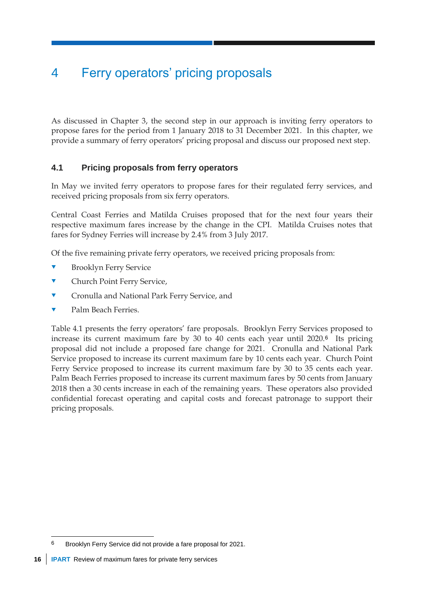# 4 Ferry operators' pricing proposals

As discussed in Chapter 3, the second step in our approach is inviting ferry operators to propose fares for the period from 1 January 2018 to 31 December 2021. In this chapter, we provide a summary of ferry operators' pricing proposal and discuss our proposed next step.

# **4.1 Pricing proposals from ferry operators**

In May we invited ferry operators to propose fares for their regulated ferry services, and received pricing proposals from six ferry operators.

Central Coast Ferries and Matilda Cruises proposed that for the next four years their respective maximum fares increase by the change in the CPI. Matilda Cruises notes that fares for Sydney Ferries will increase by 2.4% from 3 July 2017.

Of the five remaining private ferry operators, we received pricing proposals from:

- Brooklyn Ferry Service
- Church Point Ferry Service,
- Cronulla and National Park Ferry Service, and
- Palm Beach Ferries.

Table 4.1 presents the ferry operators' fare proposals. Brooklyn Ferry Services proposed to increase its current maximum fare by 30 to 40 cents each year until 2020.6 Its pricing proposal did not include a proposed fare change for 2021. Cronulla and National Park Service proposed to increase its current maximum fare by 10 cents each year. Church Point Ferry Service proposed to increase its current maximum fare by 30 to 35 cents each year. Palm Beach Ferries proposed to increase its current maximum fares by 50 cents from January 2018 then a 30 cents increase in each of the remaining years. These operators also provided confidential forecast operating and capital costs and forecast patronage to support their pricing proposals.

-

<sup>6</sup> Brooklyn Ferry Service did not provide a fare proposal for 2021.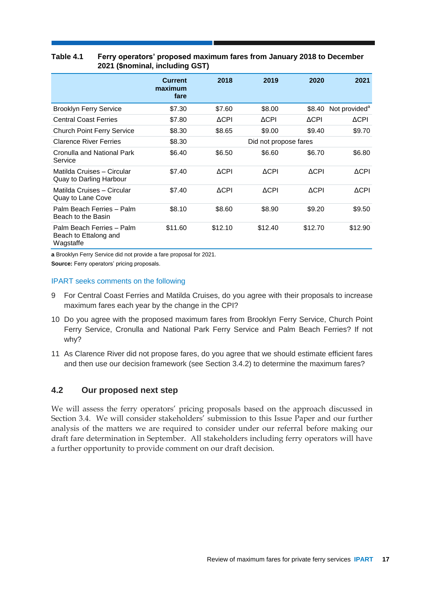| <b>ZUZ I (DIIUIIIIIIAI, IIIUIUUIIIY UJ I J</b>                  |                                   |             |                       |             |                           |
|-----------------------------------------------------------------|-----------------------------------|-------------|-----------------------|-------------|---------------------------|
|                                                                 | <b>Current</b><br>maximum<br>fare | 2018        | 2019                  | 2020        | 2021                      |
| <b>Brooklyn Ferry Service</b>                                   | \$7.30                            | \$7.60      | \$8.00                | \$8.40      | Not provided <sup>a</sup> |
| <b>Central Coast Ferries</b>                                    | \$7.80                            | <b>ACPI</b> | ∆CPI                  | <b>ACPI</b> | ∆CPI                      |
| <b>Church Point Ferry Service</b>                               | \$8.30                            | \$8.65      | \$9.00                | \$9.40      | \$9.70                    |
| <b>Clarence River Ferries</b>                                   | \$8.30                            |             | Did not propose fares |             |                           |
| Cronulla and National Park<br>Service                           | \$6.40                            | \$6.50      | \$6.60                | \$6.70      | \$6.80                    |
| Matilda Cruises - Circular<br>Quay to Darling Harbour           | \$7.40                            | <b>ACPI</b> | <b>ACPI</b>           | <b>ACPI</b> | <b>ACPI</b>               |
| Matilda Cruises - Circular<br>Quay to Lane Cove                 | \$7.40                            | <b>ACPI</b> | <b>ACPI</b>           | ∆CPI        | <b>ACPI</b>               |
| Palm Beach Ferries - Palm<br>Beach to the Basin                 | \$8.10                            | \$8.60      | \$8.90                | \$9.20      | \$9.50                    |
| Palm Beach Ferries - Palm<br>Beach to Ettalong and<br>Waɑstaffe | \$11.60                           | \$12.10     | \$12.40               | \$12.70     | \$12.90                   |

### **Table 4.1 Ferry operators' proposed maximum fares from January 2018 to December 2021 (\$nominal, including GST)**

**a** Brooklyn Ferry Service did not provide a fare proposal for 2021.

**Source:** Ferry operators' pricing proposals.

#### IPART seeks comments on the following

- 9 For Central Coast Ferries and Matilda Cruises, do you agree with their proposals to increase maximum fares each year by the change in the CPI?
- 10 Do you agree with the proposed maximum fares from Brooklyn Ferry Service, Church Point Ferry Service, Cronulla and National Park Ferry Service and Palm Beach Ferries? If not why?
- 11 As Clarence River did not propose fares, do you agree that we should estimate efficient fares and then use our decision framework (see Section 3.4.2) to determine the maximum fares?

## **4.2 Our proposed next step**

We will assess the ferry operators' pricing proposals based on the approach discussed in Section 3.4. We will consider stakeholders' submission to this Issue Paper and our further analysis of the matters we are required to consider under our referral before making our draft fare determination in September. All stakeholders including ferry operators will have a further opportunity to provide comment on our draft decision.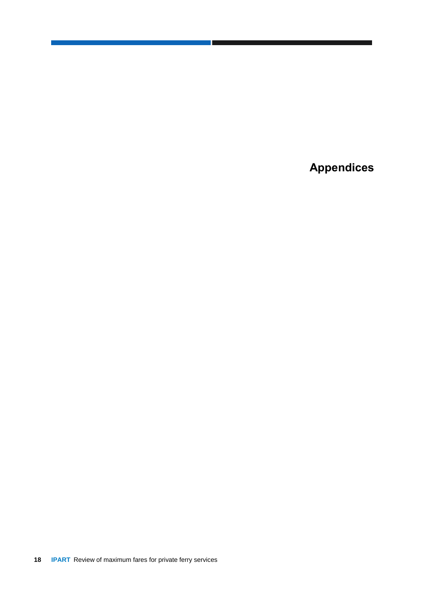**Appendices**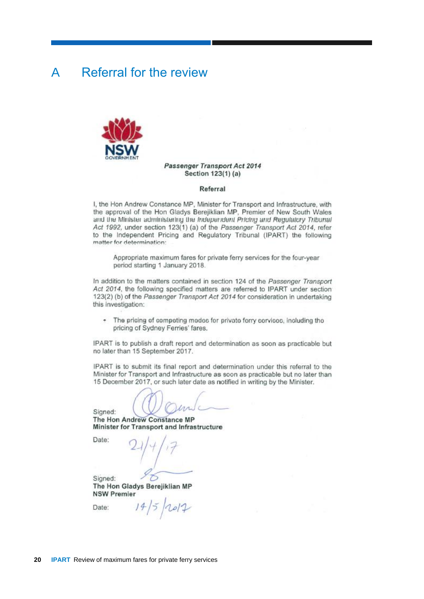# A Referral for the review



#### Passenger Transport Act 2014 Section 123(1) (a)

#### Referral

I, the Hon Andrew Constance MP, Minister for Transport and Infrastructure, with the approval of the Hon Gladys Berejiklian MP, Premier of New South Wales and the Minister administering the Independent Pricing and Regulatory Tribunal Act 1992, under section 123(1) (a) of the Passenger Transport Act 2014, refer to the Independent Pricing and Regulatory Tribunal (IPART) the following matter for determination:

Appropriate maximum fares for private ferry services for the four-year period starting 1 January 2018.

In addition to the matters contained in section 124 of the Passenger Transport Act 2014, the following specified matters are referred to IPART under section 123(2) (b) of the Passenger Transport Act 2014 for consideration in undertaking this investigation:

. The pricing of competing modes for private forry corvices, including the pricing of Sydney Ferries' fares.

IPART is to publish a draft report and determination as soon as practicable but no later than 15 September 2017.

IPART is to submit its final report and determination under this referral to the Minister for Transport and Infrastructure as soon as practicable but no later than 15 December 2017, or such later date as notified in writing by the Minister.

Signed: The Hon Andrew Constance MP Minister for Transport and Infrastructure

Date:

 $14/5$   $|10|$ 

Signed: The Hon Gladys Berejiklian MP **NSW Premier** 

Date: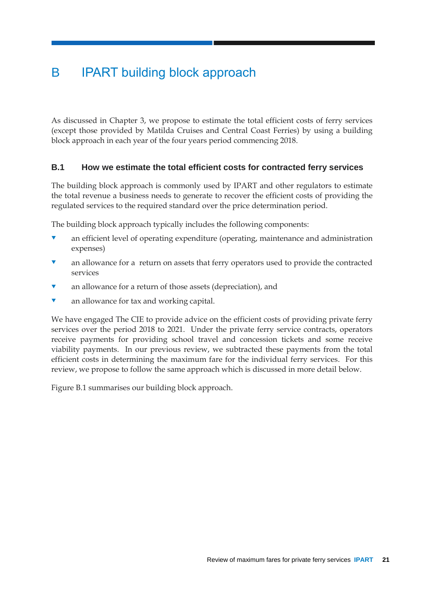# B IPART building block approach

As discussed in Chapter 3, we propose to estimate the total efficient costs of ferry services (except those provided by Matilda Cruises and Central Coast Ferries) by using a building block approach in each year of the four years period commencing 2018.

## **B.1 How we estimate the total efficient costs for contracted ferry services**

The building block approach is commonly used by IPART and other regulators to estimate the total revenue a business needs to generate to recover the efficient costs of providing the regulated services to the required standard over the price determination period.

The building block approach typically includes the following components:

- an efficient level of operating expenditure (operating, maintenance and administration expenses)
- an allowance for a return on assets that ferry operators used to provide the contracted services
- an allowance for a return of those assets (depreciation), and
- an allowance for tax and working capital.

We have engaged The CIE to provide advice on the efficient costs of providing private ferry services over the period 2018 to 2021. Under the private ferry service contracts, operators receive payments for providing school travel and concession tickets and some receive viability payments. In our previous review, we subtracted these payments from the total efficient costs in determining the maximum fare for the individual ferry services. For this review, we propose to follow the same approach which is discussed in more detail below.

Figure B.1 summarises our building block approach.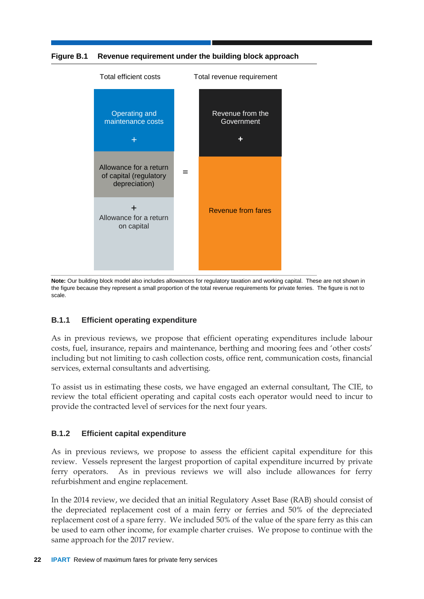



**Note:** Our building block model also includes allowances for regulatory taxation and working capital. These are not shown in the figure because they represent a small proportion of the total revenue requirements for private ferries. The figure is not to scale.

## **B.1.1 Efficient operating expenditure**

As in previous reviews, we propose that efficient operating expenditures include labour costs, fuel, insurance, repairs and maintenance, berthing and mooring fees and 'other costs' including but not limiting to cash collection costs, office rent, communication costs, financial services, external consultants and advertising.

To assist us in estimating these costs, we have engaged an external consultant, The CIE, to review the total efficient operating and capital costs each operator would need to incur to provide the contracted level of services for the next four years.

## **B.1.2 Efficient capital expenditure**

As in previous reviews, we propose to assess the efficient capital expenditure for this review. Vessels represent the largest proportion of capital expenditure incurred by private ferry operators. As in previous reviews we will also include allowances for ferry refurbishment and engine replacement.

In the 2014 review, we decided that an initial Regulatory Asset Base (RAB) should consist of the depreciated replacement cost of a main ferry or ferries and 50% of the depreciated replacement cost of a spare ferry. We included 50% of the value of the spare ferry as this can be used to earn other income, for example charter cruises. We propose to continue with the same approach for the 2017 review.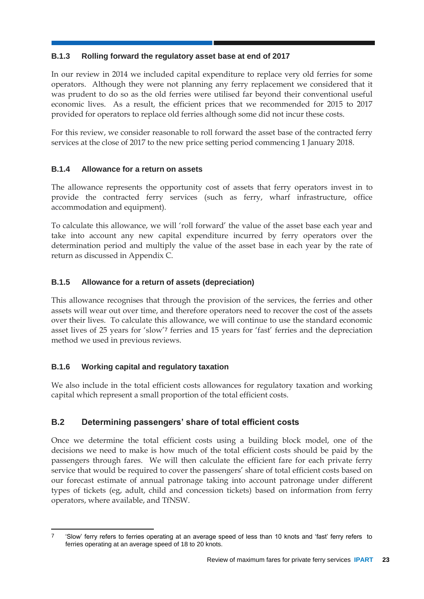# **B.1.3 Rolling forward the regulatory asset base at end of 2017**

In our review in 2014 we included capital expenditure to replace very old ferries for some operators. Although they were not planning any ferry replacement we considered that it was prudent to do so as the old ferries were utilised far beyond their conventional useful economic lives. As a result, the efficient prices that we recommended for 2015 to 2017 provided for operators to replace old ferries although some did not incur these costs.

For this review, we consider reasonable to roll forward the asset base of the contracted ferry services at the close of 2017 to the new price setting period commencing 1 January 2018.

# **B.1.4 Allowance for a return on assets**

The allowance represents the opportunity cost of assets that ferry operators invest in to provide the contracted ferry services (such as ferry, wharf infrastructure, office accommodation and equipment).

To calculate this allowance, we will 'roll forward' the value of the asset base each year and take into account any new capital expenditure incurred by ferry operators over the determination period and multiply the value of the asset base in each year by the rate of return as discussed in Appendix C.

# **B.1.5 Allowance for a return of assets (depreciation)**

This allowance recognises that through the provision of the services, the ferries and other assets will wear out over time, and therefore operators need to recover the cost of the assets over their lives. To calculate this allowance, we will continue to use the standard economic asset lives of 25 years for 'slow'<sup>7</sup> ferries and 15 years for 'fast' ferries and the depreciation method we used in previous reviews.

# **B.1.6 Working capital and regulatory taxation**

We also include in the total efficient costs allowances for regulatory taxation and working capital which represent a small proportion of the total efficient costs.

# **B.2 Determining passengers' share of total efficient costs**

Once we determine the total efficient costs using a building block model, one of the decisions we need to make is how much of the total efficient costs should be paid by the passengers through fares. We will then calculate the efficient fare for each private ferry service that would be required to cover the passengers' share of total efficient costs based on our forecast estimate of annual patronage taking into account patronage under different types of tickets (eg, adult, child and concession tickets) based on information from ferry operators, where available, and TfNSW.

<sup>-</sup>7 'Slow' ferry refers to ferries operating at an average speed of less than 10 knots and 'fast' ferry refers to ferries operating at an average speed of 18 to 20 knots.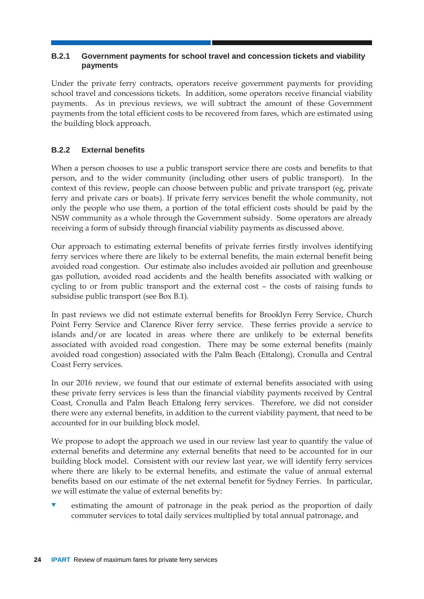### **B.2.1 Government payments for school travel and concession tickets and viability payments**

Under the private ferry contracts, operators receive government payments for providing school travel and concessions tickets. In addition, some operators receive financial viability payments. As in previous reviews, we will subtract the amount of these Government payments from the total efficient costs to be recovered from fares, which are estimated using the building block approach.

# **B.2.2 External benefits**

When a person chooses to use a public transport service there are costs and benefits to that person, and to the wider community (including other users of public transport). In the context of this review, people can choose between public and private transport (eg, private ferry and private cars or boats). If private ferry services benefit the whole community, not only the people who use them, a portion of the total efficient costs should be paid by the NSW community as a whole through the Government subsidy. Some operators are already receiving a form of subsidy through financial viability payments as discussed above.

Our approach to estimating external benefits of private ferries firstly involves identifying ferry services where there are likely to be external benefits, the main external benefit being avoided road congestion. Our estimate also includes avoided air pollution and greenhouse gas pollution, avoided road accidents and the health benefits associated with walking or cycling to or from public transport and the external cost – the costs of raising funds to subsidise public transport (see Box B.1).

In past reviews we did not estimate external benefits for Brooklyn Ferry Service, Church Point Ferry Service and Clarence River ferry service. These ferries provide a service to islands and/or are located in areas where there are unlikely to be external benefits associated with avoided road congestion. There may be some external benefits (mainly avoided road congestion) associated with the Palm Beach (Ettalong), Cronulla and Central Coast Ferry services.

In our 2016 review, we found that our estimate of external benefits associated with using these private ferry services is less than the financial viability payments received by Central Coast, Cronulla and Palm Beach Ettalong ferry services. Therefore, we did not consider there were any external benefits, in addition to the current viability payment, that need to be accounted for in our building block model.

We propose to adopt the approach we used in our review last year to quantify the value of external benefits and determine any external benefits that need to be accounted for in our building block model. Consistent with our review last year, we will identify ferry services where there are likely to be external benefits, and estimate the value of annual external benefits based on our estimate of the net external benefit for Sydney Ferries. In particular, we will estimate the value of external benefits by:

 estimating the amount of patronage in the peak period as the proportion of daily commuter services to total daily services multiplied by total annual patronage, and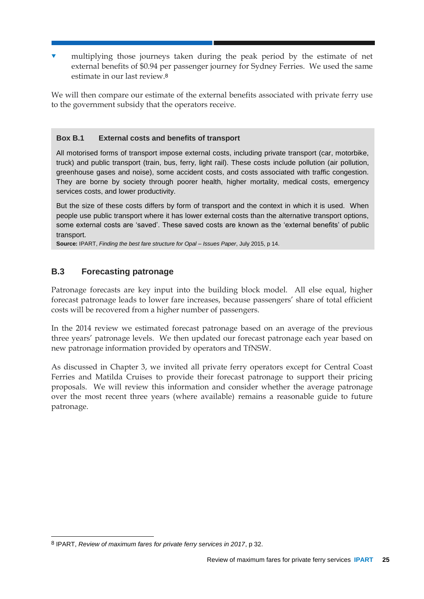multiplying those journeys taken during the peak period by the estimate of net external benefits of \$0.94 per passenger journey for Sydney Ferries. We used the same estimate in our last review.<sup>8</sup>

We will then compare our estimate of the external benefits associated with private ferry use to the government subsidy that the operators receive.

### **Box B.1 External costs and benefits of transport**

All motorised forms of transport impose external costs, including private transport (car, motorbike, truck) and public transport (train, bus, ferry, light rail). These costs include pollution (air pollution, greenhouse gases and noise), some accident costs, and costs associated with traffic congestion. They are borne by society through poorer health, higher mortality, medical costs, emergency services costs, and lower productivity.

But the size of these costs differs by form of transport and the context in which it is used. When people use public transport where it has lower external costs than the alternative transport options, some external costs are 'saved'. These saved costs are known as the 'external benefits' of public transport.

**Source:** IPART, *Finding the best fare structure for Opal – Issues Paper*, July 2015, p 14.

# **B.3 Forecasting patronage**

Patronage forecasts are key input into the building block model. All else equal, higher forecast patronage leads to lower fare increases, because passengers' share of total efficient costs will be recovered from a higher number of passengers.

In the 2014 review we estimated forecast patronage based on an average of the previous three years' patronage levels. We then updated our forecast patronage each year based on new patronage information provided by operators and TfNSW.

As discussed in Chapter 3, we invited all private ferry operators except for Central Coast Ferries and Matilda Cruises to provide their forecast patronage to support their pricing proposals. We will review this information and consider whether the average patronage over the most recent three years (where available) remains a reasonable guide to future patronage.

<sup>-</sup>8 IPART, *Review of maximum fares for private ferry services in 2017*, p 32.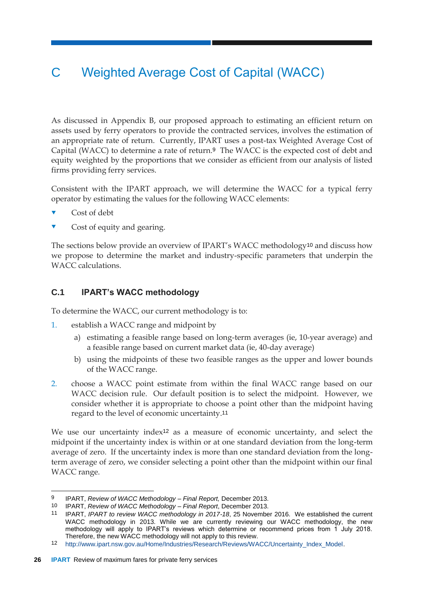# C Weighted Average Cost of Capital (WACC)

As discussed in Appendix B, our proposed approach to estimating an efficient return on assets used by ferry operators to provide the contracted services, involves the estimation of an appropriate rate of return. Currently, IPART uses a post-tax Weighted Average Cost of Capital (WACC) to determine a rate of return.9 The WACC is the expected cost of debt and equity weighted by the proportions that we consider as efficient from our analysis of listed firms providing ferry services.

Consistent with the IPART approach, we will determine the WACC for a typical ferry operator by estimating the values for the following WACC elements:

Cost of debt

-

Cost of equity and gearing.

The sections below provide an overview of IPART's WACC methodology<sup>10</sup> and discuss how we propose to determine the market and industry-specific parameters that underpin the WACC calculations.

# **C.1 IPART's WACC methodology**

To determine the WACC, our current methodology is to:

- 1. establish a WACC range and midpoint by
	- a) estimating a feasible range based on long-term averages (ie, 10-year average) and a feasible range based on current market data (ie, 40-day average)
	- b) using the midpoints of these two feasible ranges as the upper and lower bounds of the WACC range.
- 2. choose a WACC point estimate from within the final WACC range based on our WACC decision rule. Our default position is to select the midpoint. However, we consider whether it is appropriate to choose a point other than the midpoint having regard to the level of economic uncertainty.<sup>11</sup>

We use our uncertainty index<sup>12</sup> as a measure of economic uncertainty, and select the midpoint if the uncertainty index is within or at one standard deviation from the long-term average of zero. If the uncertainty index is more than one standard deviation from the longterm average of zero, we consider selecting a point other than the midpoint within our final WACC range.

<sup>9</sup> IPART, *Review of WACC Methodology – Final Report,* December 2013.

<sup>10</sup> IPART, *Review of WACC Methodology – Final Report*, December 2013.

<sup>11</sup> IPART, *IPART to review WACC methodology in 2017-18*, 25 November 2016. We established the current WACC methodology in 2013. While we are currently reviewing our WACC methodology, the new methodology will apply to IPART's reviews which determine or recommend prices from 1 July 2018. Therefore, the new WACC methodology will not apply to this review.

<sup>12</sup> [http://www.ipart.nsw.gov.au/Home/Industries/Research/Reviews/WACC/Uncertainty\\_Index\\_Model.](http://www.ipart.nsw.gov.au/Home/Industries/Research/Reviews/WACC/Uncertainty_Index_Model)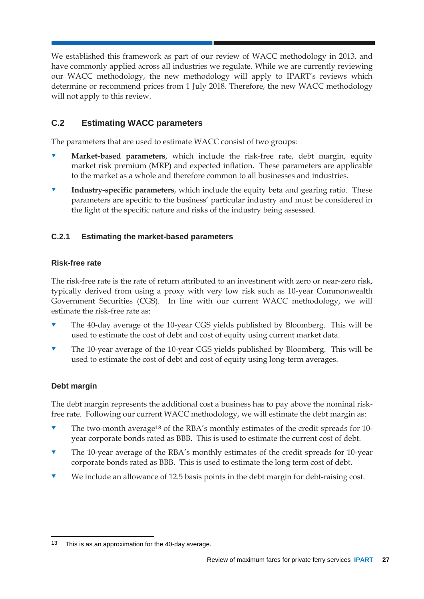We established this framework as part of our review of WACC methodology in 2013, and have commonly applied across all industries we regulate. While we are currently reviewing our WACC methodology, the new methodology will apply to IPART's reviews which determine or recommend prices from 1 July 2018. Therefore, the new WACC methodology will not apply to this review.

# **C.2 Estimating WACC parameters**

The parameters that are used to estimate WACC consist of two groups:

- **Market-based parameters**, which include the risk-free rate, debt margin, equity market risk premium (MRP) and expected inflation. These parameters are applicable to the market as a whole and therefore common to all businesses and industries.
- **Industry-specific parameters**, which include the equity beta and gearing ratio. These parameters are specific to the business' particular industry and must be considered in the light of the specific nature and risks of the industry being assessed.

# **C.2.1 Estimating the market-based parameters**

### **Risk-free rate**

The risk-free rate is the rate of return attributed to an investment with zero or near-zero risk, typically derived from using a proxy with very low risk such as 10-year Commonwealth Government Securities (CGS). In line with our current WACC methodology, we will estimate the risk-free rate as:

- The 40-day average of the 10-year CGS yields published by Bloomberg. This will be used to estimate the cost of debt and cost of equity using current market data.
- The 10-year average of the 10-year CGS yields published by Bloomberg. This will be used to estimate the cost of debt and cost of equity using long-term averages.

## **Debt margin**

The debt margin represents the additional cost a business has to pay above the nominal riskfree rate. Following our current WACC methodology, we will estimate the debt margin as:

- The two-month average<sup>13</sup> of the RBA's monthly estimates of the credit spreads for 10 year corporate bonds rated as BBB. This is used to estimate the current cost of debt.
- The 10-year average of the RBA's monthly estimates of the credit spreads for 10-year corporate bonds rated as BBB. This is used to estimate the long term cost of debt.
- We include an allowance of 12.5 basis points in the debt margin for debt-raising cost.

<sup>-</sup>13 This is as an approximation for the 40-day average.